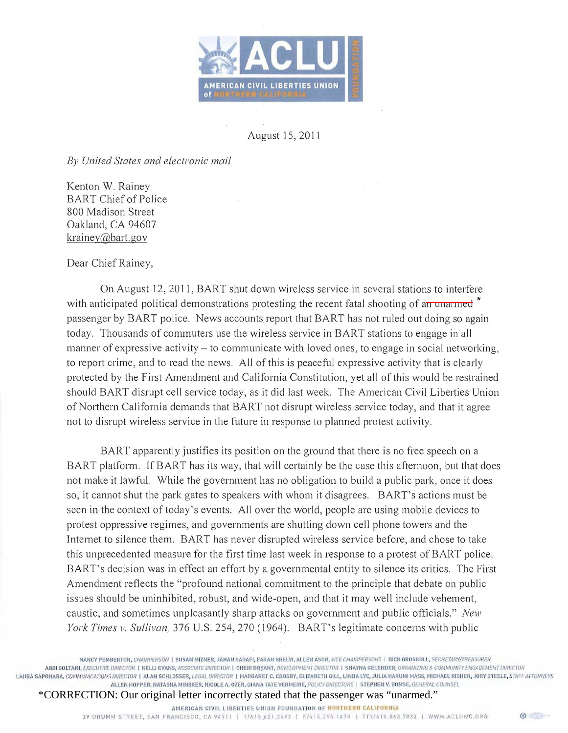

August 15, 2011

*By United States and electronic mail* 

Kenton W. Rainey BART Chief of Police 800 Madison Street Oakland, CA 94607 krainey@bart.gov

Dear Chief Rainey,

On August 12, 2011, BART shut down wireless service in several stations to interfere with anticipated political demonstrations protesting the recent fatal shooting of an unarmed \* passenger by BART police. News accounts report that BART has not ruled out doing so again today. Thousands of commuters use the wireless service in BART stations to engage in all manner of expressive activity – to communicate with loved ones, to engage in social networking, to report crime, and to read the news. All of this is peaceful expressive activity that is clearly protected by the First Amendment and California Constitution, yet all of this would be restrained should BART disrupt cell service today, as it did last week. The American Civil Liberties Union of Northern California demands that BART not disrupt wireless service today, and that it agree not to disrupt wireless service in the future in response to planned protest activity.

BART apparently justifies its position on the ground that there is no free speech on a BART platform. If BART has its way, that will certainly be the case this afternoon, but that does not make it lawful. While the government has no obligation to build a public park , once it does so, it cannot shut the park gates to speakers with whom it disagrees. BART's actions must be seen in the context of today's events. All over the world, people are using mobile devices to protest oppressive regimes, and governments are shutting down cell phone towers and the Internet to silence them. BART has never disrupted wireless service before, and chose to take this unprecedented measure for the first time last week in response to a protest of BART police. BART's decision was in effect an effort by a governmental entity to silence its critics. The First Amendment reflects the "profound national. commitment to the principle that debate on public issues should be uninhibited, robust, and wide-open, and that it may well include vehement, caustic, and sometimes unpleasantly sharp attacks on government and public officials." *New York Times v. Sullivan,* 376 U.S. 254, 270 (1964). BART's legitimate concerns with public

\*CORRECTION: Our original letter incorrectly stated that the passenger was "unarmed."

AMERICAN CIVIL LIBERTIES UNION FOUNDATION OF NORTHERN CALIFORNIA

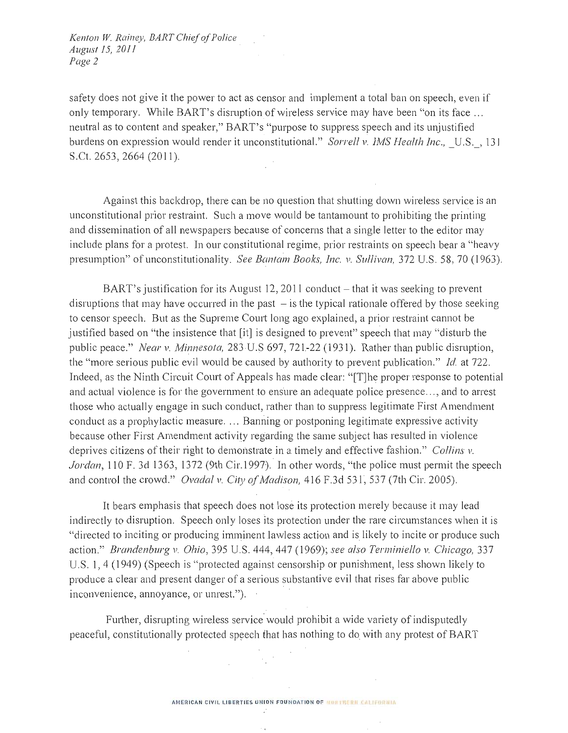Kenton W. Rainey, BART Chief of Police August 15, 2011 Page 2

safety does not give it the power to act as censor and implement a total ban on speech, even if only temporary. While BART's disruption of wireless service may have been "on its face ... neutral as to content and speaker," BART's "purpose to suppress speech and its unjustified burdens on expression would render it unconstitutional." Sorrell v. IMS Health Inc., U.S., 131 S.Ct. 2653, 2664 (2011).

Against this backdrop, there can be no question that shutting down wireless service is an unconstitutional prior restraint. Such a move would be tantamount to prohibiting the printing and dissemination of all newspapers because of concerns that a single letter to the editor may include plans for a protest. In our constitutional regime, prior restraints on speech bear a "heavy presumption" of unconstitutionality. See Bantam Books, Inc. v. Sullivan, 372 U.S. 58, 70 (1963).

BART's justification for its August 12, 2011 conduct – that it was seeking to prevent disruptions that may have occurred in the past  $-$  is the typical rationale offered by those seeking to censor speech. But as the Supreme Court long ago explained, a prior restraint cannot be justified based on "the insistence that [it] is designed to prevent" speech that may "disturb the public peace." Near v. Minnesota, 283 U.S 697, 721-22 (1931). Rather than public disruption, the "more serious public evil would be caused by authority to prevent publication." Id. at 722. Indeed, as the Ninth Circuit Court of Appeals has made clear: "[T]he proper response to potential and actual violence is for the government to ensure an adequate police presence..., and to arrest those who actually engage in such conduct, rather than to suppress legitimate First Amendment conduct as a prophylactic measure.... Banning or postponing legitimate expressive activity because other First Amendment activity regarding the same subject has resulted in violence deprives citizens of their right to demonstrate in a timely and effective fashion." Collins v. Jordan, 110 F. 3d 1363, 1372 (9th Cir.1997). In other words, "the police must permit the speech and control the crowd." Ovadal v. City of Madison, 416 F.3d 531, 537 (7th Cir. 2005).

It bears emphasis that speech does not lose its protection merely because it may lead indirectly to disruption. Speech only loses its protection under the rare circumstances when it is "directed to inciting or producing imminent lawless action and is likely to incite or produce such action." Brandenburg v. Ohio, 395 U.S. 444, 447 (1969); see also Terminiello v. Chicago, 337 U.S. 1, 4 (1949) (Speech is "protected against censorship or punishment, less shown likely to produce a clear and present danger of a serious substantive evil that rises far above public inconvenience, annovance, or unrest.").

Further, disrupting wireless service would prohibit a wide variety of indisputedly peaceful, constitutionally protected speech that has nothing to do with any protest of BART